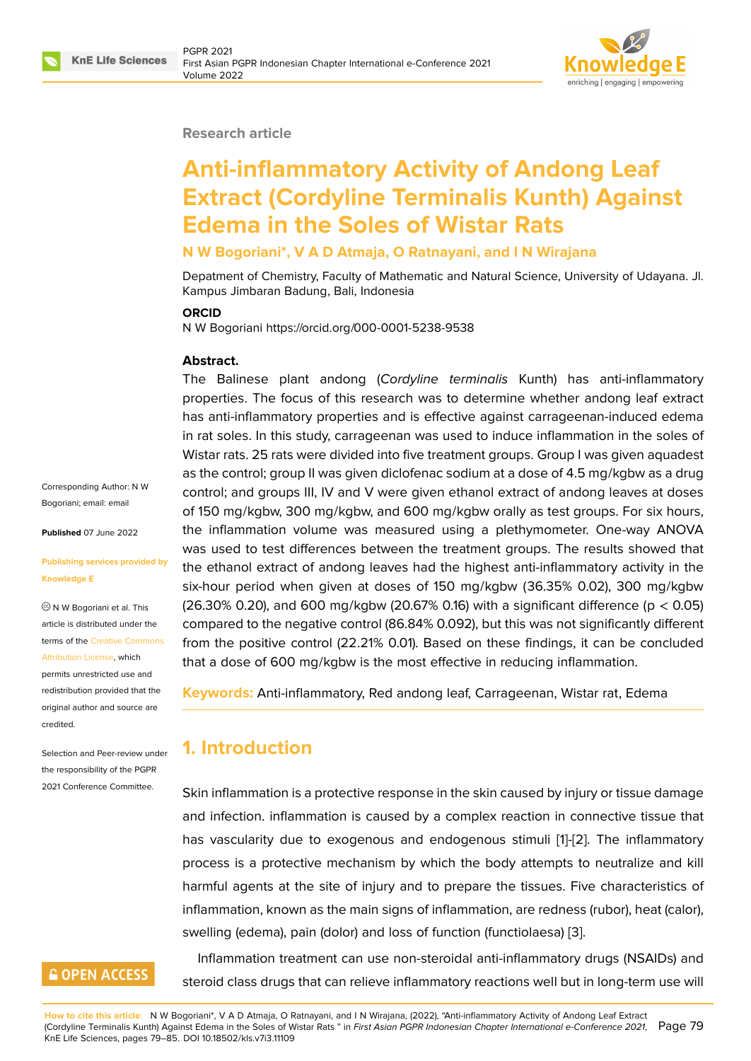

#### **Research article**

# **Anti-inflammatory Activity of Andong Leaf Extract (Cordyline Terminalis Kunth) Against Edema in the Soles of Wistar Rats**

#### **N W Bogoriani\*, V A D Atmaja, O Ratnayani, and I N Wirajana**

Depatment of Chemistry, Faculty of Mathematic and Natural Science, University of Udayana. Jl. Kampus Jimbaran Badung, Bali, Indonesia

#### **ORCID**

N W Bogoriani https://orcid.org/000-0001-5238-9538

#### **Abstract.**

The Balinese plant andong (*Cordyline terminalis* Kunth) has anti-inflammatory properties. The focus of this research was to determine whether andong leaf extract has anti-inflammatory properties and is effective against carrageenan-induced edema in rat soles. In this study, carrageenan was used to induce inflammation in the soles of Wistar rats. 25 rats were divided into five treatment groups. Group I was given aquadest as the control; group II was given diclofenac sodium at a dose of 4.5 mg/kgbw as a drug control; and groups III, IV and V were given ethanol extract of andong leaves at doses of 150 mg/kgbw, 300 mg/kgbw, and 600 mg/kgbw orally as test groups. For six hours, the inflammation volume was measured using a plethymometer. One-way ANOVA was used to test differences between the treatment groups. The results showed that the ethanol extract of andong leaves had the highest anti-inflammatory activity in the six-hour period when given at doses of 150 mg/kgbw (36.35% 0.02), 300 mg/kgbw (26.30% 0.20), and 600 mg/kgbw (20.67% 0.16) with a significant difference ( $p < 0.05$ ) compared to the negative control (86.84% 0.092), but this was not significantly different from the positive control (22.21% 0.01). Based on these findings, it can be concluded that a dose of 600 mg/kgbw is the most effective in reducing inflammation.

**Keywords:** Anti-inflammatory, Red andong leaf, Carrageenan, Wistar rat, Edema

# **1. Introduction**

Skin inflammation is a protective response in the skin caused by injury or tissue damage and infection. inflammation is caused by a complex reaction in connective tissue that has vascularity due to exogenous and endogenous stimuli [1]-[2]. The inflammatory process is a protective mechanism by which the body attempts to neutralize and kill harmful agents at the site of injury and to prepare the tissues. Five characteristics of inflammation, known as the main signs of inflammation, are red[n](#page-5-0)e[ss](#page-5-1) (rubor), heat (calor), swelling (edema), pain (dolor) and loss of function (functiolaesa) [3].

Inflammation treatment can use non-steroidal anti-inflammatory drugs (NSAIDs) and steroid class drugs that can relieve inflammatory reactions well b[ut](#page-5-2) in long-term use will

**How to cite this article**: N W Bogoriani\*, V A D Atmaja, O Ratnayani, and I N Wirajana, (2022), "Anti-inflammatory Activity of Andong Leaf Extract

(Cordyline Terminalis Kunth) Against Edema in the Soles of Wistar Rats " in *First Asian PGPR Indonesian Chapter International e-Conference 2021*, Page 79 KnE Life Sciences, pages 79–85. DOI 10.18502/kls.v7i3.11109

Corresponding Author: N W Bogoriani; email: email

**Published** 07 June 2022

#### **Publishing servi[ces pr](mailto:email)ovided by Knowledge E**

N W Bogoriani et al. This article is distributed under the terms of the Creative Commons Attribution License, which permits unrestricted use and redistribution provided that the original auth[or and source are](https://creativecommons.org/licenses/by/4.0/)

Selection and Peer-review under the responsibility of the PGPR 2021 Conference Committee.

**GOPEN ACCESS** 

[credited.](https://creativecommons.org/licenses/by/4.0/)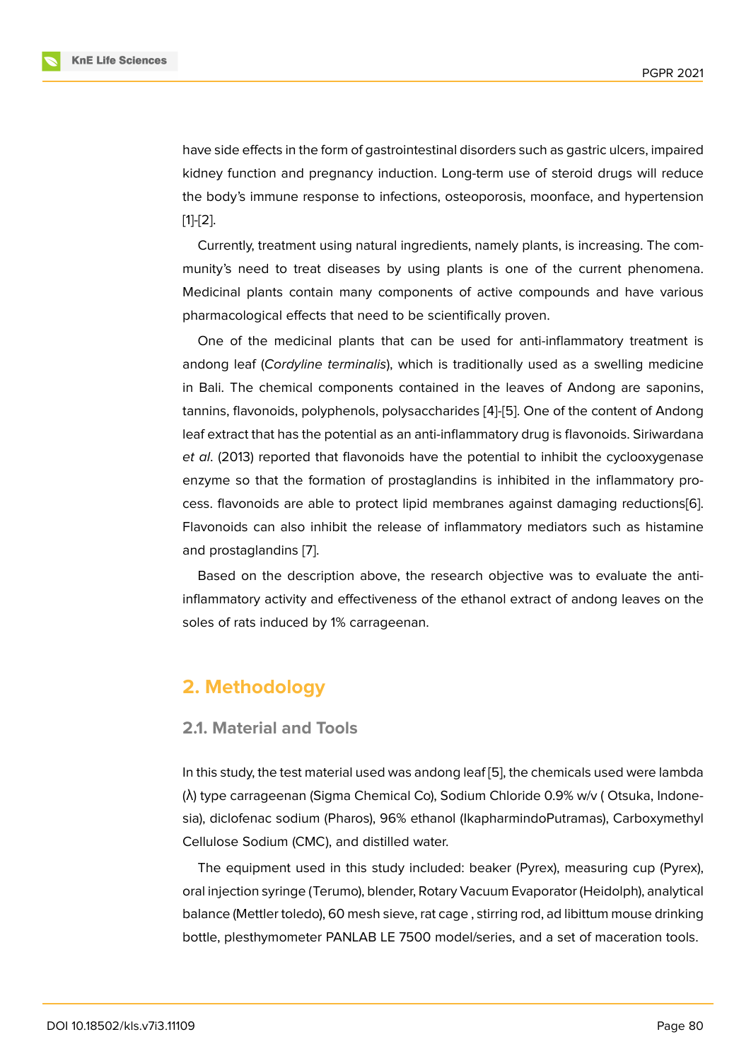have side effects in the form of gastrointestinal disorders such as gastric ulcers, impaired kidney function and pregnancy induction. Long-term use of steroid drugs will reduce the body's immune response to infections, osteoporosis, moonface, and hypertension [1]-[2].

Currently, treatment using natural ingredients, namely plants, is increasing. The community's need to treat diseases by using plants is one of the current phenomena. [M](#page-5-0)e[d](#page-5-1)icinal plants contain many components of active compounds and have various pharmacological effects that need to be scientifically proven.

One of the medicinal plants that can be used for anti-inflammatory treatment is andong leaf (*Cordyline terminalis*), which is traditionally used as a swelling medicine in Bali. The chemical components contained in the leaves of Andong are saponins, tannins, flavonoids, polyphenols, polysaccharides [4]-[5]. One of the content of Andong leaf extract that has the potential as an anti-inflammatory drug is flavonoids. Siriwardana *et al*. (2013) reported that flavonoids have the potential to inhibit the cyclooxygenase enzyme so that the formation of prostaglandins i[s](#page-5-3) i[nh](#page-5-4)ibited in the inflammatory process. flavonoids are able to protect lipid membranes against damaging reductions[6]. Flavonoids can also inhibit the release of inflammatory mediators such as histamine and prostaglandins [7].

Based on the description above, the research objective was to evaluate the a[nti](#page-5-5)inflammatory activity and effectiveness of the ethanol extract of andong leaves on the soles of rats induce[d b](#page-6-0)y 1% carrageenan.

# **2. Methodology**

## **2.1. Material and Tools**

In this study, the test material used was andong leaf [5], the chemicals used were lambda (λ) type carrageenan (Sigma Chemical Co), Sodium Chloride 0.9% w/v ( Otsuka, Indonesia), diclofenac sodium (Pharos), 96% ethanol (IkapharmindoPutramas), Carboxymethyl Cellulose Sodium (CMC), and distilled water.

The equipment used in this study included: beaker (Pyrex), measuring cup (Pyrex), oral injection syringe (Terumo), blender, Rotary Vacuum Evaporator (Heidolph), analytical balance (Mettler toledo), 60 mesh sieve, rat cage , stirring rod, ad libittum mouse drinking bottle, plesthymometer PANLAB LE 7500 model/series, and a set of maceration tools.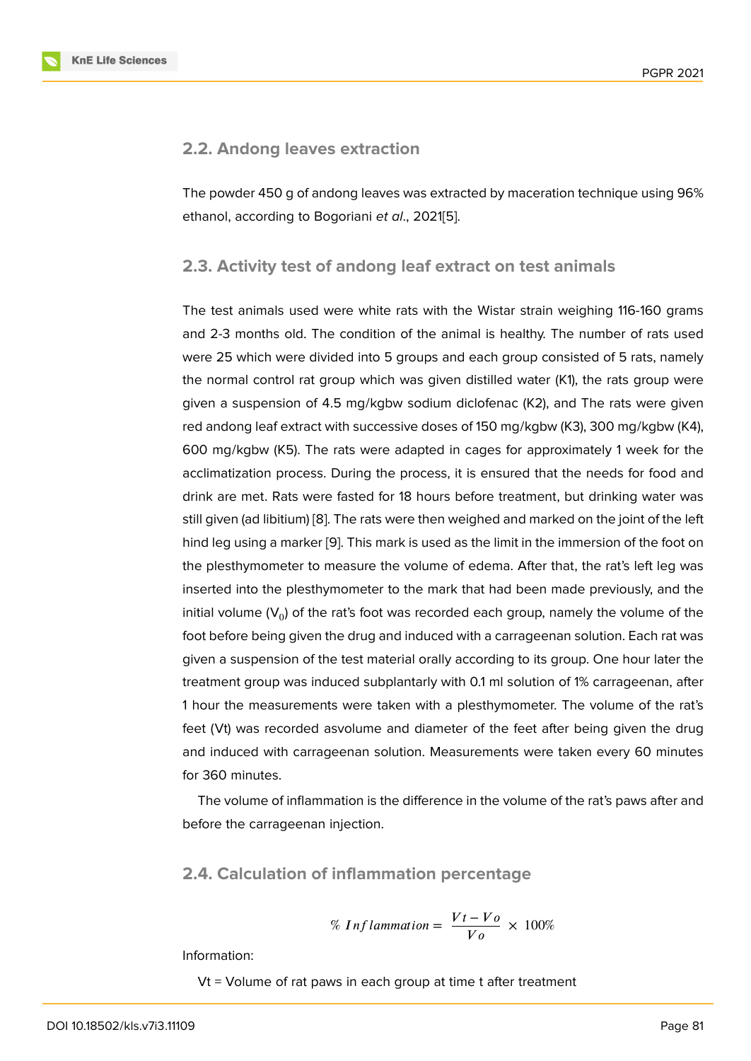### **2.2. Andong leaves extraction**

The powder 450 g of andong leaves was extracted by maceration technique using 96% ethanol, according to Bogoriani *et al*., 2021[5].

## **2.3. Activity test of andong leaf e[x](#page-5-4)tract on test animals**

The test animals used were white rats with the Wistar strain weighing 116-160 grams and 2-3 months old. The condition of the animal is healthy. The number of rats used were 25 which were divided into 5 groups and each group consisted of 5 rats, namely the normal control rat group which was given distilled water (K1), the rats group were given a suspension of 4.5 mg/kgbw sodium diclofenac (K2), and The rats were given red andong leaf extract with successive doses of 150 mg/kgbw (K3), 300 mg/kgbw (K4), 600 mg/kgbw (K5). The rats were adapted in cages for approximately 1 week for the acclimatization process. During the process, it is ensured that the needs for food and drink are met. Rats were fasted for 18 hours before treatment, but drinking water was still given (ad libitium) [8]. The rats were then weighed and marked on the joint of the left hind leg using a marker [9]. This mark is used as the limit in the immersion of the foot on the plesthymometer to measure the volume of edema. After that, the rat's left leg was inserted into the plest[hy](#page-6-1)mometer to the mark that had been made previously, and the initial volume ( $\mathsf{V}_0$ ) of the [ra](#page-6-2)t's foot was recorded each group, namely the volume of the foot before being given the drug and induced with a carrageenan solution. Each rat was given a suspension of the test material orally according to its group. One hour later the treatment group was induced subplantarly with 0.1 ml solution of 1% carrageenan, after 1 hour the measurements were taken with a plesthymometer. The volume of the rat's feet (Vt) was recorded asvolume and diameter of the feet after being given the drug and induced with carrageenan solution. Measurements were taken every 60 minutes for 360 minutes.

The volume of inflammation is the difference in the volume of the rat's paws after and before the carrageenan injection.

#### **2.4. Calculation of inflammation percentage**

% Inflammation = 
$$
\frac{Vt - Vo}{Vo} \times 100\%
$$

Information:

Vt = Volume of rat paws in each group at time t after treatment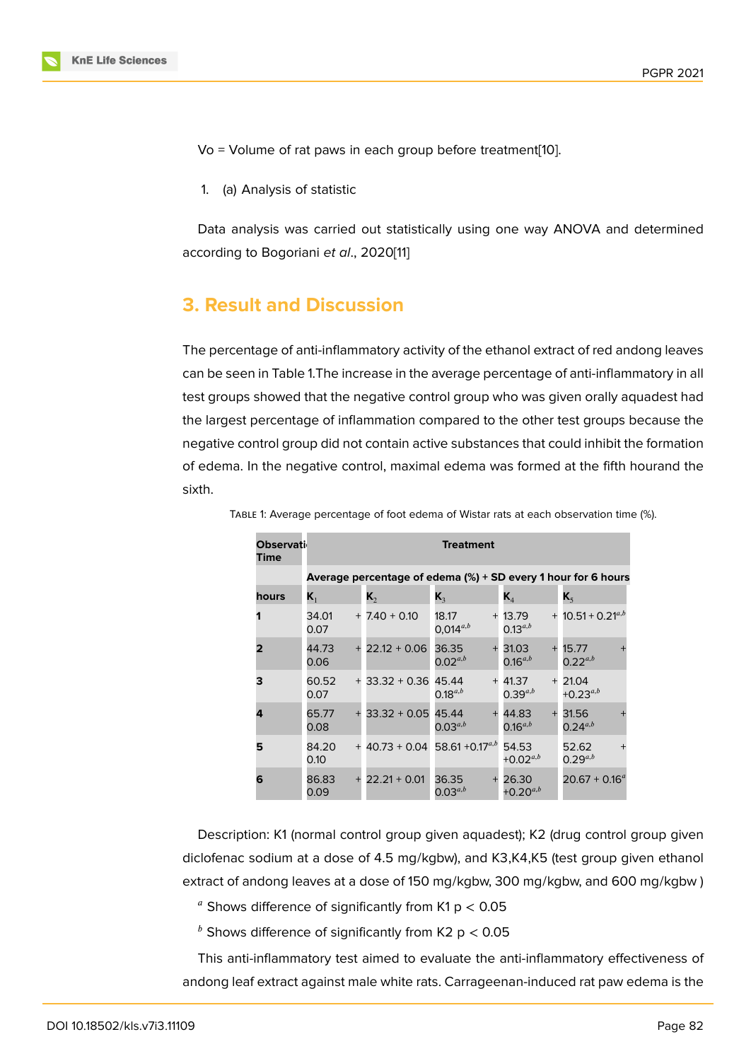Vo = Volume of rat paws in each group before treatment[10].

1. (a) Analysis of statistic

Data analysis was carried out statistically using one way ANOVA and determined according to Bogoriani *et al*., 2020[11]

# **3. Result and Discussio[n](#page-6-3)**

The percentage of anti-inflammatory activity of the ethanol extract of red andong leaves can be seen in Table 1.The increase in the average percentage of anti-inflammatory in all test groups showed that the negative control group who was given orally aquadest had the largest percentage of inflammation compared to the other test groups because the negative control group did not contain active substances that could inhibit the formation of edema. In the negative control, maximal edema was formed at the fifth hourand the sixth.

| <b>Observati</b><br>Time | Treatment                                                     |                                             |                              |                                    |                                        |
|--------------------------|---------------------------------------------------------------|---------------------------------------------|------------------------------|------------------------------------|----------------------------------------|
|                          | Average percentage of edema (%) + SD every 1 hour for 6 hours |                                             |                              |                                    |                                        |
| hours                    | $\mathsf{K}_1$                                                | К,                                          | $\mathbf{K}_3$               | $\mathbf{K}_{4}$                   | $\mathbf{K}_{5}$                       |
|                          | 34.01<br>0.07                                                 | $+ 7.40 + 0.10$                             | 18.17<br>$0,014^{a,b}$       | $+13.79$<br>$0.13^{a,b}$           | $+$ 10.51 + 0.21 <sup><i>a,b</i></sup> |
| 2                        | 44.73<br>0.06                                                 | $+22.12+0.06$                               | 36.35<br>$+$<br>$0.02^{a,b}$ | 31.03<br>$+$<br>$0.16^{a,b}$       | 15.77<br>$0.22^{a,b}$                  |
| 3                        | 60.52<br>0.07                                                 | $+33.32 + 0.36$                             | 45.44<br>$0.18^{a,b}$        | $+41.37$<br>$^{+}$<br>$0.39^{a,b}$ | 21.04<br>$+0.23^{a,b}$                 |
| 4                        | 65.77<br>0.08                                                 | $+33.32 + 0.05$                             | 45.44<br>$0.03^{a,b}$        | 44.83<br>$0.16^{a,b}$              | 31.56<br>$0.24^{a,b}$                  |
| 5                        | 84.20<br>0.10                                                 | $+$ 40.73 + 0.04 58.61 +0.17 <sup>a,b</sup> |                              | 54.53<br>$+0.02^{a,b}$             | 52.62<br>$0.29^{a,b}$                  |
| 6                        | 86.83<br>0.09                                                 | $22.21 + 0.01$<br>$+$                       | 36.35<br>$+$<br>$0.03^{a,b}$ | 26.30<br>$+0.20^{a,b}$             | $20.67 + 0.16^a$                       |

Table 1: Average percentage of foot edema of Wistar rats at each observation time (%).

Description: K1 (normal control group given aquadest); K2 (drug control group given diclofenac sodium at a dose of 4.5 mg/kgbw), and K3,K4,K5 (test group given ethanol extract of andong leaves at a dose of 150 mg/kgbw, 300 mg/kgbw, and 600 mg/kgbw )

 $a$  Shows difference of significantly from K1 p  $<$  0.05

 $<sup>b</sup>$  Shows difference of significantly from K2 p < 0.05</sup>

This anti-inflammatory test aimed to evaluate the anti-inflammatory effectiveness of andong leaf extract against male white rats. Carrageenan-induced rat paw edema is the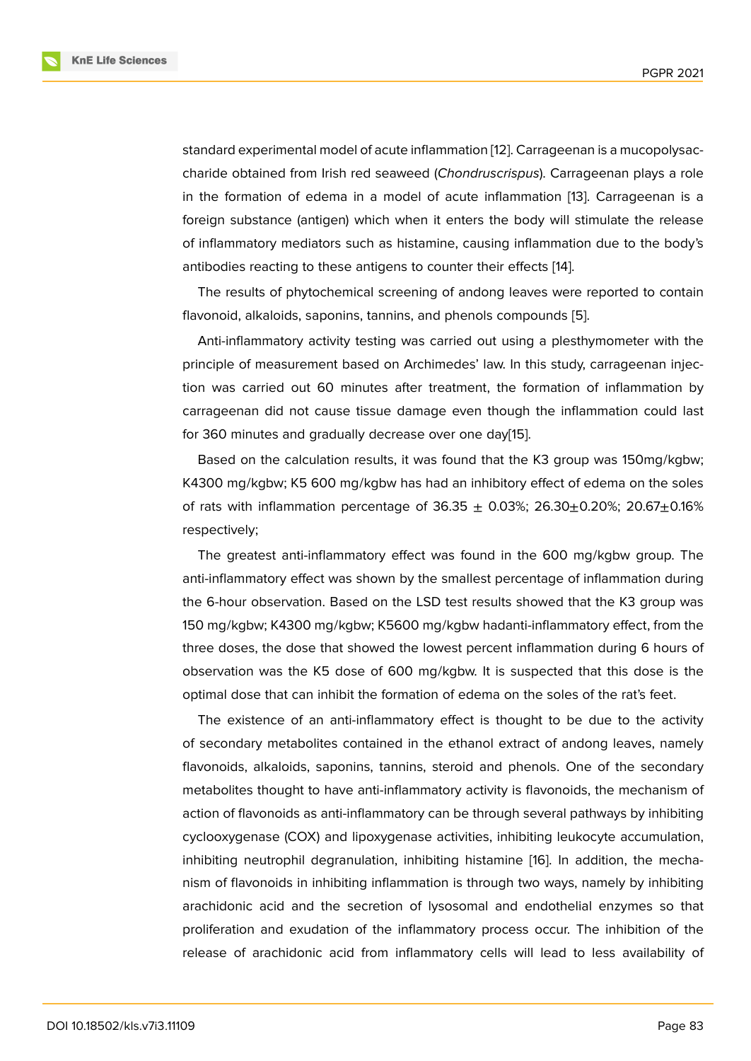standard experimental model of acute inflammation [12]. Carrageenan is a mucopolysaccharide obtained from Irish red seaweed (*Chondruscrispus*). Carrageenan plays a role in the formation of edema in a model of acute inflammation [13]. Carrageenan is a foreign substance (antigen) which when it enters t[he](#page-6-4) body will stimulate the release of inflammatory mediators such as histamine, causing inflammation due to the body's antibodies reacting to these antigens to counter their effects [14[\].](#page-6-5)

The results of phytochemical screening of andong leaves were reported to contain flavonoid, alkaloids, saponins, tannins, and phenols compounds [5].

Anti-inflammatory activity testing was carried out using a [ple](#page-6-6)sthymometer with the principle of measurement based on Archimedes' law. In this study, carrageenan injection was carried out 60 minutes after treatment, the formatio[n](#page-5-4) of inflammation by carrageenan did not cause tissue damage even though the inflammation could last for 360 minutes and gradually decrease over one day[15].

Based on the calculation results, it was found that the K3 group was 150mg/kgbw; K4300 mg/kgbw; K5 600 mg/kgbw has had an inhibitory effect of edema on the soles of rats with inflammation percentage of  $36.35 \pm 0.03$ %;  $26.30 \pm 0.20$ %;  $20.67 \pm 0.16$ % respectively;

The greatest anti-inflammatory effect was found in the 600 mg/kgbw group. The anti-inflammatory effect was shown by the smallest percentage of inflammation during the 6-hour observation. Based on the LSD test results showed that the K3 group was 150 mg/kgbw; K4300 mg/kgbw; K5600 mg/kgbw hadanti-inflammatory effect, from the three doses, the dose that showed the lowest percent inflammation during 6 hours of observation was the K5 dose of 600 mg/kgbw. It is suspected that this dose is the optimal dose that can inhibit the formation of edema on the soles of the rat's feet.

The existence of an anti-inflammatory effect is thought to be due to the activity of secondary metabolites contained in the ethanol extract of andong leaves, namely flavonoids, alkaloids, saponins, tannins, steroid and phenols. One of the secondary metabolites thought to have anti-inflammatory activity is flavonoids, the mechanism of action of flavonoids as anti-inflammatory can be through several pathways by inhibiting cyclooxygenase (COX) and lipoxygenase activities, inhibiting leukocyte accumulation, inhibiting neutrophil degranulation, inhibiting histamine [16]. In addition, the mechanism of flavonoids in inhibiting inflammation is through two ways, namely by inhibiting arachidonic acid and the secretion of lysosomal and endothelial enzymes so that proliferation and exudation of the inflammatory process [oc](#page-6-8)cur. The inhibition of the release of arachidonic acid from inflammatory cells will lead to less availability of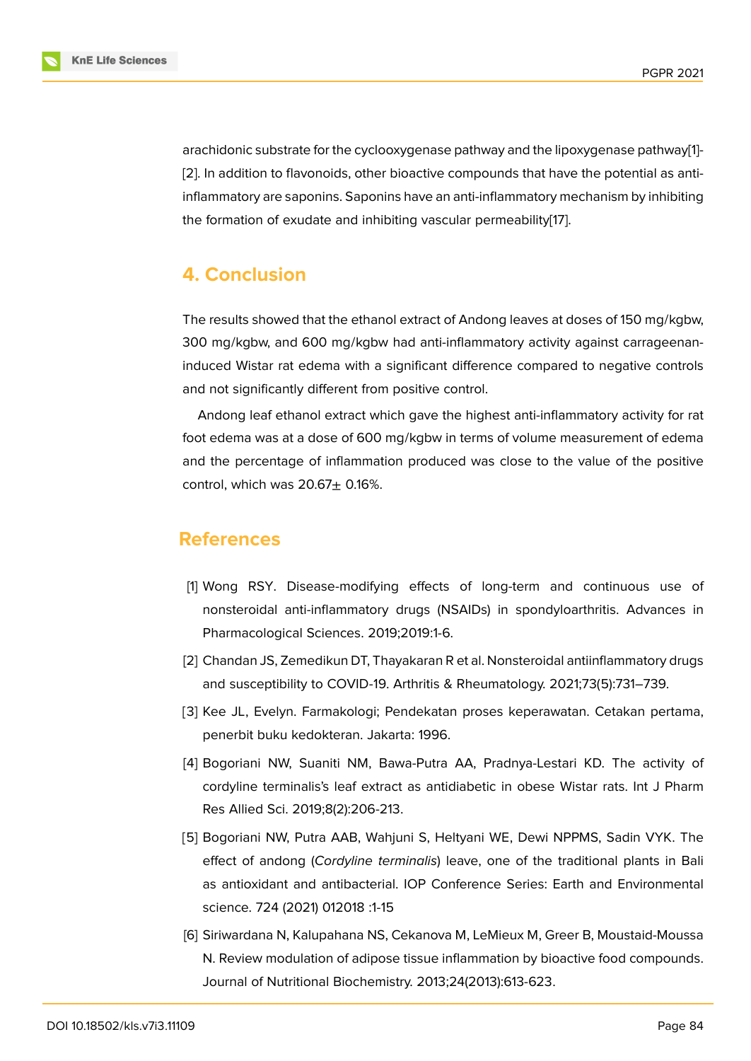arachidonic substrate for the cyclooxygenase pathway and the lipoxygenase pathway[1]- [2]. In addition to flavonoids, other bioactive compounds that have the potential as antiinflammatory are saponins. Saponins have an anti-inflammatory mechanism by inhibiting the formation of exudate and inhibiting vascular permeability[17].

# **4. Conclusion**

The results showed that the ethanol extract of Andong leaves at doses of 150 mg/kgbw, 300 mg/kgbw, and 600 mg/kgbw had anti-inflammatory activity against carrageenaninduced Wistar rat edema with a significant difference compared to negative controls and not significantly different from positive control.

Andong leaf ethanol extract which gave the highest anti-inflammatory activity for rat foot edema was at a dose of 600 mg/kgbw in terms of volume measurement of edema and the percentage of inflammation produced was close to the value of the positive control, which was  $20.67 \pm 0.16\%$ .

# **References**

- [1] Wong RSY. Disease-modifying effects of long-term and continuous use of nonsteroidal anti-inflammatory drugs (NSAIDs) in spondyloarthritis. Advances in Pharmacological Sciences. 2019;2019:1-6.
- <span id="page-5-0"></span>[2] Chandan JS, Zemedikun DT, Thayakaran R et al. Nonsteroidal antiinflammatory drugs and susceptibility to COVID-19. Arthritis & Rheumatology. 2021;73(5):731–739.
- <span id="page-5-1"></span>[3] Kee JL, Evelyn. Farmakologi; Pendekatan proses keperawatan. Cetakan pertama, penerbit buku kedokteran. Jakarta: 1996.
- <span id="page-5-2"></span>[4] Bogoriani NW, Suaniti NM, Bawa-Putra AA, Pradnya-Lestari KD. The activity of cordyline terminalis's leaf extract as antidiabetic in obese Wistar rats. Int J Pharm Res Allied Sci. 2019;8(2):206-213.
- <span id="page-5-3"></span>[5] Bogoriani NW, Putra AAB, Wahjuni S, Heltyani WE, Dewi NPPMS, Sadin VYK. The effect of andong (*Cordyline terminalis*) leave, one of the traditional plants in Bali as antioxidant and antibacterial. IOP Conference Series: Earth and Environmental science. 724 (2021) 012018 :1-15
- <span id="page-5-5"></span><span id="page-5-4"></span>[6] Siriwardana N, Kalupahana NS, Cekanova M, LeMieux M, Greer B, Moustaid-Moussa N. Review modulation of adipose tissue inflammation by bioactive food compounds. Journal of Nutritional Biochemistry. 2013;24(2013):613-623.